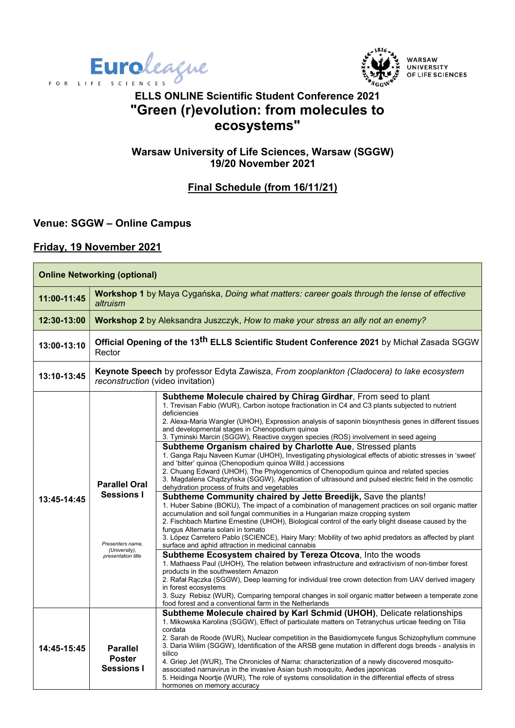



WARSAW **UNIVERSITY** OF LIFE SCIENCES

# ELLS ONLINE Scientific Student Conference 2021 "Green (r)evolution: from molecules to ecosystems"

#### Warsaw University of Life Sciences, Warsaw (SGGW) 19/20 November 2021

## Final Schedule (from 16/11/21)

#### Venue: SGGW – Online Campus

#### Friday, 19 November 2021

| <b>Online Networking (optional)</b> |                                                                                                                                |                                                                                                                                                                                                                                                                                                                                                                                                                                                                                                                                                                                                                                                                                                                                                                                                                                                                                                                                                                                                                                                                                                                                                                                                                                                                                                                                                                                                                                                                                                                                                                                                                                                                                                                                                                                                                                                                                                                                                                                                      |  |
|-------------------------------------|--------------------------------------------------------------------------------------------------------------------------------|------------------------------------------------------------------------------------------------------------------------------------------------------------------------------------------------------------------------------------------------------------------------------------------------------------------------------------------------------------------------------------------------------------------------------------------------------------------------------------------------------------------------------------------------------------------------------------------------------------------------------------------------------------------------------------------------------------------------------------------------------------------------------------------------------------------------------------------------------------------------------------------------------------------------------------------------------------------------------------------------------------------------------------------------------------------------------------------------------------------------------------------------------------------------------------------------------------------------------------------------------------------------------------------------------------------------------------------------------------------------------------------------------------------------------------------------------------------------------------------------------------------------------------------------------------------------------------------------------------------------------------------------------------------------------------------------------------------------------------------------------------------------------------------------------------------------------------------------------------------------------------------------------------------------------------------------------------------------------------------------------|--|
| 11:00-11:45                         | Workshop 1 by Maya Cygańska, Doing what matters: career goals through the lense of effective<br>altruism                       |                                                                                                                                                                                                                                                                                                                                                                                                                                                                                                                                                                                                                                                                                                                                                                                                                                                                                                                                                                                                                                                                                                                                                                                                                                                                                                                                                                                                                                                                                                                                                                                                                                                                                                                                                                                                                                                                                                                                                                                                      |  |
| 12:30-13:00                         | Workshop 2 by Aleksandra Juszczyk, How to make your stress an ally not an enemy?                                               |                                                                                                                                                                                                                                                                                                                                                                                                                                                                                                                                                                                                                                                                                                                                                                                                                                                                                                                                                                                                                                                                                                                                                                                                                                                                                                                                                                                                                                                                                                                                                                                                                                                                                                                                                                                                                                                                                                                                                                                                      |  |
| 13:00-13:10                         | Official Opening of the 13 <sup>th</sup> ELLS Scientific Student Conference 2021 by Michał Zasada SGGW<br>Rector               |                                                                                                                                                                                                                                                                                                                                                                                                                                                                                                                                                                                                                                                                                                                                                                                                                                                                                                                                                                                                                                                                                                                                                                                                                                                                                                                                                                                                                                                                                                                                                                                                                                                                                                                                                                                                                                                                                                                                                                                                      |  |
| 13:10-13:45                         | Keynote Speech by professor Edyta Zawisza, From zooplankton (Cladocera) to lake ecosystem<br>reconstruction (video invitation) |                                                                                                                                                                                                                                                                                                                                                                                                                                                                                                                                                                                                                                                                                                                                                                                                                                                                                                                                                                                                                                                                                                                                                                                                                                                                                                                                                                                                                                                                                                                                                                                                                                                                                                                                                                                                                                                                                                                                                                                                      |  |
| 13:45-14:45                         | <b>Parallel Oral</b><br><b>Sessions I</b><br>Presenters name,<br>(University),<br>presentation title                           | Subtheme Molecule chaired by Chirag Girdhar, From seed to plant<br>1. Trevisan Fabio (WUR), Carbon isotope fractionation in C4 and C3 plants subjected to nutrient<br>deficiencies<br>2. Alexa-Maria Wangler (UHOH), Expression analysis of saponin biosynthesis genes in different tissues<br>and developmental stages in Chenopodium quinoa<br>3. Tyminski Marcin (SGGW), Reactive oxygen species (ROS) involvement in seed ageing<br>Subtheme Organism chaired by Charlotte Aue, Stressed plants<br>1. Ganga Raju Naveen Kumar (UHOH), Investigating physiological effects of abiotic stresses in 'sweet'<br>and 'bitter' quinoa (Chenopodium quinoa Willd.) accessions<br>2. Chuang Edward (UHOH), The Phylogenomics of Chenopodium quinoa and related species<br>3. Magdalena Chadzyńska (SGGW), Application of ultrasound and pulsed electric field in the osmotic<br>dehydration process of fruits and vegetables<br>Subtheme Community chaired by Jette Breedijk, Save the plants!<br>1. Huber Sabine (BOKU), The impact of a combination of management practices on soil organic matter<br>accumulation and soil fungal communities in a Hungarian maize cropping system<br>2. Fischbach Martine Ernestine (UHOH), Biological control of the early blight disease caused by the<br>fungus Alternaria solani in tomato<br>3. López Carretero Pablo (SCIENCE), Hairy Mary: Mobility of two aphid predators as affected by plant<br>surface and aphid attraction in medicinal cannabis<br>Subtheme Ecosystem chaired by Tereza Otcova, Into the woods<br>1. Mathaess Paul (UHOH), The relation between infrastructure and extractivism of non-timber forest<br>products in the southwestern Amazon<br>2. Rafał Rączka (SGGW), Deep learning for individual tree crown detection from UAV derived imagery<br>in forest ecosystems<br>3. Suzy Rebisz (WUR), Comparing temporal changes in soil organic matter between a temperate zone<br>food forest and a conventional farm in the Netherlands |  |
| 14:45-15:45                         | <b>Parallel</b><br><b>Poster</b><br><b>Sessions I</b>                                                                          | Subtheme Molecule chaired by Karl Schmid (UHOH), Delicate relationships<br>1. Mikowska Karolina (SGGW), Effect of particulate matters on Tetranychus urticae feeding on Tilia<br>cordata<br>2. Sarah de Roode (WUR), Nuclear competition in the Basidiomycete fungus Schizophyllum commune<br>3. Daria Wilim (SGGW), Identification of the ARSB gene mutation in different dogs breeds - analysis in<br>silico<br>4. Griep Jet (WUR), The Chronicles of Narna: characterization of a newly discovered mosquito-<br>associated narnavirus in the invasive Asian bush mosquito, Aedes japonicas<br>5. Heidinga Noortje (WUR), The role of systems consolidation in the differential effects of stress<br>hormones on memory accuracy                                                                                                                                                                                                                                                                                                                                                                                                                                                                                                                                                                                                                                                                                                                                                                                                                                                                                                                                                                                                                                                                                                                                                                                                                                                                   |  |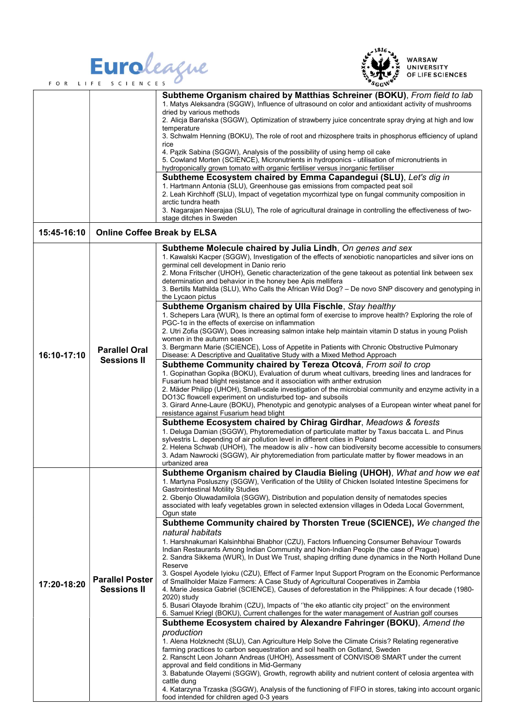



WARSAW<br>UNIVERSITY<br>OF LIFE SCIENCES

|             |                                              | Subtheme Organism chaired by Matthias Schreiner (BOKU), From field to lab<br>1. Matys Aleksandra (SGGW), Influence of ultrasound on color and antioxidant activity of mushrooms<br>dried by various methods<br>2. Alicja Barańska (SGGW), Optimization of strawberry juice concentrate spray drying at high and low<br>temperature<br>3. Schwalm Henning (BOKU). The role of root and rhizosphere traits in phosphorus efficiency of upland<br>rice<br>4. Pazik Sabina (SGGW), Analysis of the possibility of using hemp oil cake<br>5. Cowland Morten (SCIENCE), Micronutrients in hydroponics - utilisation of micronutrients in<br>hydroponically grown tomato with organic fertiliser versus inorganic fertiliser<br>Subtheme Ecosystem chaired by Emma Capandegui (SLU), Let's dig in<br>1. Hartmann Antonia (SLU), Greenhouse gas emissions from compacted peat soil<br>2. Leah Kirchhoff (SLU), Impact of vegetation mycorrhizal type on fungal community composition in<br>arctic tundra heath<br>3. Nagarajan Neerajaa (SLU), The role of agricultural drainage in controlling the effectiveness of two-<br>stage ditches in Sweden                                                                                                                                                                                                                                                                                                                                                                                                                                                                                                                                                                                                                                                                                                                                                                                                                                                                                                                                                                             |
|-------------|----------------------------------------------|--------------------------------------------------------------------------------------------------------------------------------------------------------------------------------------------------------------------------------------------------------------------------------------------------------------------------------------------------------------------------------------------------------------------------------------------------------------------------------------------------------------------------------------------------------------------------------------------------------------------------------------------------------------------------------------------------------------------------------------------------------------------------------------------------------------------------------------------------------------------------------------------------------------------------------------------------------------------------------------------------------------------------------------------------------------------------------------------------------------------------------------------------------------------------------------------------------------------------------------------------------------------------------------------------------------------------------------------------------------------------------------------------------------------------------------------------------------------------------------------------------------------------------------------------------------------------------------------------------------------------------------------------------------------------------------------------------------------------------------------------------------------------------------------------------------------------------------------------------------------------------------------------------------------------------------------------------------------------------------------------------------------------------------------------------------------------------------------------------------------------|
| 15:45-16:10 | <b>Online Coffee Break by ELSA</b>           |                                                                                                                                                                                                                                                                                                                                                                                                                                                                                                                                                                                                                                                                                                                                                                                                                                                                                                                                                                                                                                                                                                                                                                                                                                                                                                                                                                                                                                                                                                                                                                                                                                                                                                                                                                                                                                                                                                                                                                                                                                                                                                                          |
| 16:10-17:10 | <b>Parallel Oral</b><br><b>Sessions II</b>   | Subtheme Molecule chaired by Julia Lindh, On genes and sex<br>1. Kawalski Kacper (SGGW), Investigation of the effects of xenobiotic nanoparticles and silver ions on<br>germinal cell development in Danio rerio<br>2. Mona Fritscher (UHOH), Genetic characterization of the gene takeout as potential link between sex<br>determination and behavior in the honey bee Apis mellifera<br>3. Bertills Mathilda (SLU), Who Calls the African Wild Dog? - De novo SNP discovery and genotyping in<br>the Lycaon pictus<br>Subtheme Organism chaired by Ulla Fischle, Stay healthy<br>1. Schepers Lara (WUR), Is there an optimal form of exercise to improve health? Exploring the role of<br>PGC-1a in the effects of exercise on inflammation<br>2. Utri Zofia (SGGW), Does increasing salmon intake help maintain vitamin D status in young Polish<br>women in the autumn season<br>3. Bergmann Marie (SCIENCE), Loss of Appetite in Patients with Chronic Obstructive Pulmonary<br>Disease: A Descriptive and Qualitative Study with a Mixed Method Approach<br>Subtheme Community chaired by Tereza Otcová, From soil to crop<br>1. Gopinathan Gopika (BOKU), Evaluation of durum wheat cultivars, breeding lines and landraces for<br>Fusarium head blight resistance and it association with anther extrusion<br>2. Mäder Philipp (UHOH), Small-scale investigation of the microbial community and enzyme activity in a<br>DO13C flowcell experiment on undisturbed top- and subsoils<br>3. Girard Anne-Laure (BOKU), Phenotypic and genotypic analyses of a European winter wheat panel for<br>resistance against Fusarium head blight<br>Subtheme Ecosystem chaired by Chirag Girdhar, Meadows & forests<br>1. Deluga Damian (SGGW), Phytoremediation of particulate matter by Taxus baccata L. and Pinus<br>sylvestris L. depending of air pollution level in different cities in Poland<br>2. Helena Schwab (UHOH), The meadow is aliv - how can biodiversity become accessible to consumers<br>3. Adam Nawrocki (SGGW), Air phytoremediation from particulate matter by flower meadows in an<br>urbanized area |
| 17:20-18:20 | <b>Parallel Poster</b><br><b>Sessions II</b> | Subtheme Organism chaired by Claudia Bieling (UHOH), What and how we eat<br>1. Martyna Posluszny (SGGW), Verification of the Utility of Chicken Isolated Intestine Specimens for<br><b>Gastrointestinal Motility Studies</b><br>2. Gbenjo Oluwadamilola (SGGW), Distribution and population density of nematodes species<br>associated with leafy vegetables grown in selected extension villages in Odeda Local Government,<br>Ogun state<br>Subtheme Community chaired by Thorsten Treue (SCIENCE), We changed the<br>natural habitats<br>1. Harshnakumari Kalsinhbhai Bhabhor (CZU), Factors Influencing Consumer Behaviour Towards<br>Indian Restaurants Among Indian Community and Non-Indian People (the case of Prague)<br>2. Sandra Sikkema (WUR), In Dust We Trust, shaping drifting dune dynamics in the North Holland Dune<br>Reserve<br>3. Gospel Ayodele Iyioku (CZU), Effect of Farmer Input Support Program on the Economic Performance<br>of Smallholder Maize Farmers: A Case Study of Agricultural Cooperatives in Zambia<br>4. Marie Jessica Gabriel (SCIENCE), Causes of deforestation in the Philippines: A four decade (1980-<br>2020) study<br>5. Busari Olayode Ibrahim (CZU), Impacts of "the eko atlantic city project" on the environment<br>6. Samuel Kriegl (BOKU), Current challenges for the water management of Austrian golf courses<br>Subtheme Ecosystem chaired by Alexandre Fahringer (BOKU), Amend the<br>production<br>1. Alena Holzknecht (SLU), Can Agriculture Help Solve the Climate Crisis? Relating regenerative<br>farming practices to carbon sequestration and soil health on Gotland, Sweden<br>2. Ranscht Leon Johann Andreas (UHOH), Assessment of CONVISO® SMART under the current<br>approval and field conditions in Mid-Germany<br>3. Babatunde Olayemi (SGGW), Growth, regrowth ability and nutrient content of celosia argentea with<br>cattle dung<br>4. Katarzyna Trzaska (SGGW), Analysis of the functioning of FIFO in stores, taking into account organic<br>food intended for children aged 0-3 years                                                     |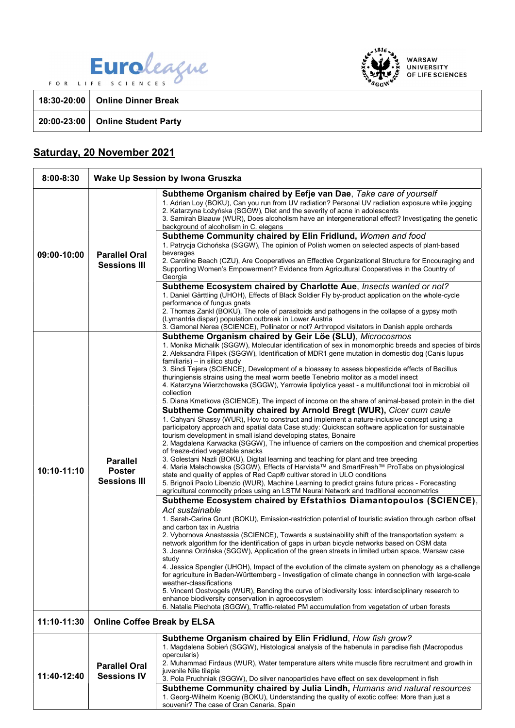



| 18:30-20:00   Online Dinner Break  |
|------------------------------------|
| 20:00-23:00   Online Student Party |

### Saturday, 20 November 2021

| 8:00-8:30   | Wake Up Session by Iwona Gruszka                        |                                                                                                                                                                                                                                                                                                                                                                                                                                                                                                                                                                                                                                                                                                                                                                                                                                                                                                                                                                                                                                                                                                                                                                                                                                                                                                                                                                                                                                                                                                                                                                                                                                                                                                                                                                                                                                                                                                                                                                                                                                                                                                                                                                                                                                                                                                                                                                                                                                                                                                                                                                                                                                                                                                                                                 |
|-------------|---------------------------------------------------------|-------------------------------------------------------------------------------------------------------------------------------------------------------------------------------------------------------------------------------------------------------------------------------------------------------------------------------------------------------------------------------------------------------------------------------------------------------------------------------------------------------------------------------------------------------------------------------------------------------------------------------------------------------------------------------------------------------------------------------------------------------------------------------------------------------------------------------------------------------------------------------------------------------------------------------------------------------------------------------------------------------------------------------------------------------------------------------------------------------------------------------------------------------------------------------------------------------------------------------------------------------------------------------------------------------------------------------------------------------------------------------------------------------------------------------------------------------------------------------------------------------------------------------------------------------------------------------------------------------------------------------------------------------------------------------------------------------------------------------------------------------------------------------------------------------------------------------------------------------------------------------------------------------------------------------------------------------------------------------------------------------------------------------------------------------------------------------------------------------------------------------------------------------------------------------------------------------------------------------------------------------------------------------------------------------------------------------------------------------------------------------------------------------------------------------------------------------------------------------------------------------------------------------------------------------------------------------------------------------------------------------------------------------------------------------------------------------------------------------------------------|
| 09:00-10:00 | <b>Parallel Oral</b><br><b>Sessions III</b>             | Subtheme Organism chaired by Eefje van Dae, Take care of yourself<br>1. Adrian Loy (BOKU), Can you run from UV radiation? Personal UV radiation exposure while jogging<br>2. Katarzyna Łożyńska (SGGW), Diet and the severity of acne in adolescents<br>3. Samirah Blaauw (WUR), Does alcoholism have an intergenerational effect? Investigating the genetic<br>background of alcoholism in C. elegans                                                                                                                                                                                                                                                                                                                                                                                                                                                                                                                                                                                                                                                                                                                                                                                                                                                                                                                                                                                                                                                                                                                                                                                                                                                                                                                                                                                                                                                                                                                                                                                                                                                                                                                                                                                                                                                                                                                                                                                                                                                                                                                                                                                                                                                                                                                                          |
|             |                                                         | Subtheme Community chaired by Elin Fridlund, Women and food<br>1. Patrycja Cichońska (SGGW), The opinion of Polish women on selected aspects of plant-based<br>beverages<br>2. Caroline Beach (CZU), Are Cooperatives an Effective Organizational Structure for Encouraging and<br>Supporting Women's Empowerment? Evidence from Agricultural Cooperatives in the Country of<br>Georgia                                                                                                                                                                                                                                                                                                                                                                                                                                                                                                                                                                                                                                                                                                                                                                                                                                                                                                                                                                                                                                                                                                                                                                                                                                                                                                                                                                                                                                                                                                                                                                                                                                                                                                                                                                                                                                                                                                                                                                                                                                                                                                                                                                                                                                                                                                                                                         |
|             |                                                         | Subtheme Ecosystem chaired by Charlotte Aue, Insects wanted or not?<br>1. Daniel Gärttling (UHOH), Effects of Black Soldier Fly by-product application on the whole-cycle<br>performance of fungus gnats<br>2. Thomas Zankl (BOKU), The role of parasitoids and pathogens in the collapse of a gypsy moth<br>(Lymantria dispar) population outbreak in Lower Austria<br>3. Gamonal Nerea (SCIENCE), Pollinator or not? Arthropod visitators in Danish apple orchards                                                                                                                                                                                                                                                                                                                                                                                                                                                                                                                                                                                                                                                                                                                                                                                                                                                                                                                                                                                                                                                                                                                                                                                                                                                                                                                                                                                                                                                                                                                                                                                                                                                                                                                                                                                                                                                                                                                                                                                                                                                                                                                                                                                                                                                                            |
| 10:10-11:10 | <b>Parallel</b><br><b>Poster</b><br><b>Sessions III</b> | Subtheme Organism chaired by Geir Löe (SLU), Microcosmos<br>1. Monika Michalik (SGGW), Molecular identification of sex in monomorphic breeds and species of birds<br>2. Aleksandra Filipek (SGGW), Identification of MDR1 gene mutation in domestic dog (Canis lupus<br>familiaris) - in silico study<br>3. Sindi Tejera (SCIENCE), Development of a bioassay to assess biopesticide effects of Bacillus<br>thuringiensis strains using the meal worm beetle Tenebrio molitor as a model insect<br>4. Katarzyna Wierzchowska (SGGW), Yarrowia lipolytica yeast - a multifunctional tool in microbial oil<br>collection<br>5. Diana Kmetkova (SCIENCE), The impact of income on the share of animal-based protein in the diet<br>Subtheme Community chaired by Arnold Bregt (WUR), Cicer cum caule<br>1. Cahyani Shassy (WUR), How to construct and implement a nature-inclusive concept using a<br>participatory approach and spatial data Case study: Quickscan software application for sustainable<br>tourism development in small island developing states, Bonaire<br>2. Magdalena Karwacka (SGGW), The influence of carriers on the composition and chemical properties<br>of freeze-dried vegetable snacks<br>3. Golestani Nazli (BOKU), Digital learning and teaching for plant and tree breeding<br>4. Maria Małachowska (SGGW), Effects of Harvista™ and SmartFresh™ ProTabs on physiological<br>state and quality of apples of Red Cap® cultivar stored in ULO conditions<br>5. Brignoli Paolo Libenzio (WUR), Machine Learning to predict grains future prices - Forecasting<br>agricultural commodity prices using an LSTM Neural Network and traditional econometrics<br>Subtheme Ecosystem chaired by Efstathios Diamantopoulos (SCIENCE),<br>Act sustainable<br>1. Sarah-Carina Grunt (BOKU), Emission-restriction potential of touristic aviation through carbon offset<br>and carbon tax in Austria<br>2. Vybornova Anastassia (SCIENCE), Towards a sustainability shift of the transportation system: a<br>network algorithm for the identification of gaps in urban bicycle networks based on OSM data<br>3. Joanna Orzińska (SGGW), Application of the green streets in limited urban space, Warsaw case<br>studv<br>4. Jessica Spengler (UHOH), Impact of the evolution of the climate system on phenology as a challenge<br>for agriculture in Baden-Württemberg - Investigation of climate change in connection with large-scale<br>weather-classifications<br>5. Vincent Oostvogels (WUR), Bending the curve of biodiversity loss: interdisciplinary research to<br>enhance biodiversity conservation in agroecosystem<br>6. Natalia Piechota (SGGW), Traffic-related PM accumulation from vegetation of urban forests |
| 11:10-11:30 | <b>Online Coffee Break by ELSA</b>                      |                                                                                                                                                                                                                                                                                                                                                                                                                                                                                                                                                                                                                                                                                                                                                                                                                                                                                                                                                                                                                                                                                                                                                                                                                                                                                                                                                                                                                                                                                                                                                                                                                                                                                                                                                                                                                                                                                                                                                                                                                                                                                                                                                                                                                                                                                                                                                                                                                                                                                                                                                                                                                                                                                                                                                 |
| 11:40-12:40 | <b>Parallel Oral</b><br><b>Sessions IV</b>              | Subtheme Organism chaired by Elin Fridlund, How fish grow?<br>1. Magdalena Sobień (SGGW), Histological analysis of the habenula in paradise fish (Macropodus<br>opercularis)<br>2. Muhammad Firdaus (WUR), Water temperature alters white muscle fibre recruitment and growth in<br>juvenile Nile tilapia<br>3. Pola Pruchniak (SGGW), Do silver nanoparticles have effect on sex development in fish<br>Subtheme Community chaired by Julia Lindh, Humans and natural resources<br>1. Georg-Wilhelm Koenig (BOKU), Understanding the quality of exotic coffee: More than just a<br>souvenir? The case of Gran Canaria, Spain                                                                                                                                                                                                                                                                                                                                                                                                                                                                                                                                                                                                                                                                                                                                                                                                                                                                                                                                                                                                                                                                                                                                                                                                                                                                                                                                                                                                                                                                                                                                                                                                                                                                                                                                                                                                                                                                                                                                                                                                                                                                                                                   |